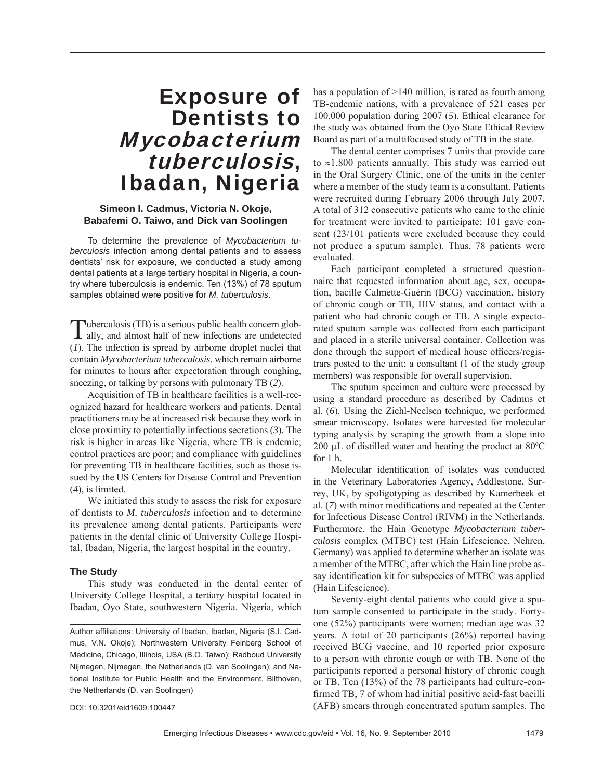## Exposure of Dentists to Mycobacterium tuberculosis, Ibadan, Nigeria

### **Simeon I. Cadmus, Victoria N. Okoje, Babafemi O. Taiwo, and Dick van Soolingen**

To determine the prevalence of *Mycobacterium tuberculosis* infection among dental patients and to assess dentists' risk for exposure, we conducted a study among dental patients at a large tertiary hospital in Nigeria, a country where tuberculosis is endemic. Ten (13%) of 78 sputum samples obtained were positive for *M. tuberculosis*.

Tuberculosis (TB) is a serious public health concern glob-<br>ally, and almost half of new infections are undetected (*1*). The infection is spread by airborne droplet nuclei that contain *Mycobacterium tuberculosis*, which remain airborne for minutes to hours after expectoration through coughing, sneezing, or talking by persons with pulmonary TB (*2*).

Acquisition of TB in healthcare facilities is a well-recognized hazard for healthcare workers and patients. Dental practitioners may be at increased risk because they work in close proximity to potentially infectious secretions (*3*)*.* The risk is higher in areas like Nigeria, where TB is endemic; control practices are poor; and compliance with guidelines for preventing TB in healthcare facilities, such as those issued by the US Centers for Disease Control and Prevention (*4*), is limited.

We initiated this study to assess the risk for exposure of dentists to *M. tuberculosis* infection and to determine its prevalence among dental patients. Participants were patients in the dental clinic of University College Hospital, Ibadan, Nigeria, the largest hospital in the country.

#### **The Study**

This study was conducted in the dental center of University College Hospital, a tertiary hospital located in Ibadan, Oyo State, southwestern Nigeria. Nigeria, which

DOI: 10.3201/eid1609.100447

has a population of >140 million, is rated as fourth among TB-endemic nations, with a prevalence of 521 cases per 100,000 population during 2007 (*5*). Ethical clearance for the study was obtained from the Oyo State Ethical Review Board as part of a multifocused study of TB in the state.

The dental center comprises 7 units that provide care to ≈1,800 patients annually. This study was carried out in the Oral Surgery Clinic, one of the units in the center where a member of the study team is a consultant. Patients were recruited during February 2006 through July 2007. A total of 312 consecutive patients who came to the clinic for treatment were invited to participate; 101 gave consent (23/101 patients were excluded because they could not produce a sputum sample). Thus, 78 patients were evaluated.

Each participant completed a structured questionnaire that requested information about age, sex, occupation, bacille Calmette-Guérin (BCG) vaccination, history of chronic cough or TB, HIV status, and contact with a patient who had chronic cough or TB. A single expectorated sputum sample was collected from each participant and placed in a sterile universal container. Collection was done through the support of medical house officers/registrars posted to the unit; a consultant (1 of the study group members) was responsible for overall supervision.

The sputum specimen and culture were processed by using a standard procedure as described by Cadmus et al. (*6*). Using the Ziehl-Neelsen technique, we performed smear microscopy. Isolates were harvested for molecular typing analysis by scraping the growth from a slope into 200 μL of distilled water and heating the product at 80ºC for  $1 h$ 

Molecular identification of isolates was conducted in the Veterinary Laboratories Agency, Addlestone, Surrey, UK, by spoligotyping as described by Kamerbeek et al. (7) with minor modifications and repeated at the Center for Infectious Disease Control (RIVM) in the Netherlands. Furthermore, the Hain Genotype *Mycobacterium tuberculosis* complex (MTBC) test (Hain Lifescience, Nehren, Germany) was applied to determine whether an isolate was a member of the MTBC, after which the Hain line probe assay identification kit for subspecies of MTBC was applied (Hain Lifescience).

Seventy-eight dental patients who could give a sputum sample consented to participate in the study. Fortyone (52%) participants were women; median age was 32 years. A total of 20 participants (26%) reported having received BCG vaccine, and 10 reported prior exposure to a person with chronic cough or with TB. None of the participants reported a personal history of chronic cough or TB. Ten (13%) of the 78 participants had culture-confirmed TB, 7 of whom had initial positive acid-fast bacilli (AFB) smears through concentrated sputum samples. The

Author affiliations: University of Ibadan, Ibadan, Nigeria (S.I. Cadmus, V.N. Okoje); Northwestern University Feinberg School of Medicine, Chicago, Illinois, USA (B.O. Taiwo); Radboud University Nijmegen, Nijmegen, the Netherlands (D. van Soolingen); and National Institute for Public Health and the Environment, Bilthoven, the Netherlands (D. van Soolingen)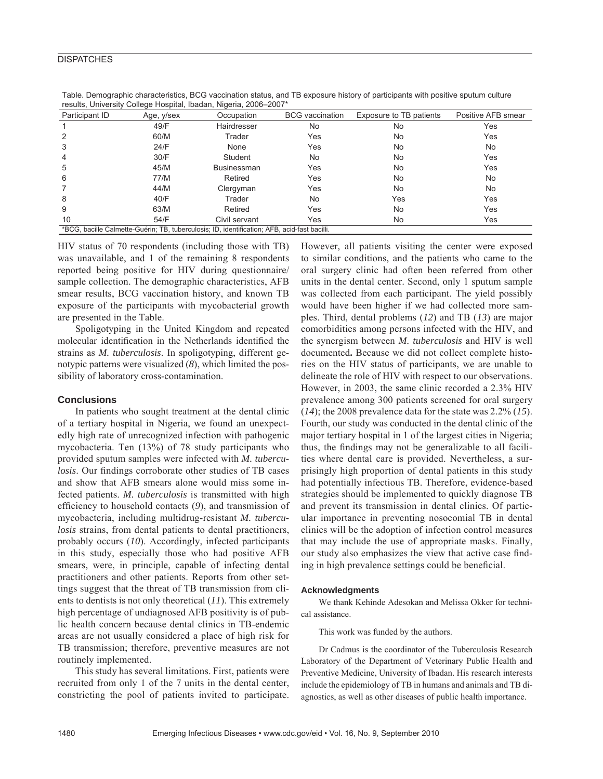#### **DISPATCHES**

| Participant ID | Age, y/sex | Occupation                                                                                   | <b>BCG</b> vaccination | Exposure to TB patients | Positive AFB smear |
|----------------|------------|----------------------------------------------------------------------------------------------|------------------------|-------------------------|--------------------|
|                | 49/F       | Hairdresser                                                                                  | No                     | No                      | Yes                |
| 2              | 60/M       | Trader                                                                                       | Yes                    | No                      | Yes                |
| 3              | 24/F       | None                                                                                         | Yes                    | No                      | No.                |
| 4              | 30/F       | Student                                                                                      | No                     | No                      | Yes                |
| 5              | 45/M       | <b>Businessman</b>                                                                           | Yes                    | No                      | Yes                |
| 6              | 77/M       | Retired                                                                                      | Yes                    | No                      | <b>No</b>          |
|                | 44/M       | Clergyman                                                                                    | Yes                    | No                      | No.                |
| 8              | 40/F       | Trader                                                                                       | No                     | Yes                     | Yes                |
| 9              | 63/M       | Retired                                                                                      | Yes                    | No                      | Yes                |
| 10             | 54/F       | Civil servant                                                                                | Yes                    | No                      | Yes                |
|                |            | *BCG, bacille Calmette-Guérin; TB, tuberculosis; ID, identification; AFB, acid-fast bacilli. |                        |                         |                    |

Table. Demographic characteristics, BCG vaccination status, and TB exposure history of participants with positive sputum culture results, University College Hospital, Ibadan, Nigeria, 2006–2007\*

HIV status of 70 respondents (including those with TB) was unavailable, and 1 of the remaining 8 respondents reported being positive for HIV during questionnaire/ sample collection. The demographic characteristics, AFB smear results, BCG vaccination history, and known TB exposure of the participants with mycobacterial growth are presented in the Table.

Spoligotyping in the United Kingdom and repeated molecular identification in the Netherlands identified the strains as *M. tuberculosis*. In spoligotyping, different genotypic patterns were visualized (*8*), which limited the possibility of laboratory cross-contamination.

#### **Conclusions**

In patients who sought treatment at the dental clinic of a tertiary hospital in Nigeria, we found an unexpectedly high rate of unrecognized infection with pathogenic mycobacteria. Ten (13%) of 78 study participants who provided sputum samples were infected with *M. tuberculosis*. Our findings corroborate other studies of TB cases and show that AFB smears alone would miss some infected patients. *M. tuberculosis* is transmitted with high efficiency to household contacts (9), and transmission of mycobacteria, including multidrug-resistant *M. tuberculosis* strains, from dental patients to dental practitioners, probably occurs (*10*). Accordingly, infected participants in this study, especially those who had positive AFB smears, were, in principle, capable of infecting dental practitioners and other patients. Reports from other settings suggest that the threat of TB transmission from clients to dentists is not only theoretical (*11*). This extremely high percentage of undiagnosed AFB positivity is of public health concern because dental clinics in TB-endemic areas are not usually considered a place of high risk for TB transmission; therefore, preventive measures are not routinely implemented.

This study has several limitations. First, patients were recruited from only 1 of the 7 units in the dental center, constricting the pool of patients invited to participate.

However, all patients visiting the center were exposed to similar conditions, and the patients who came to the oral surgery clinic had often been referred from other units in the dental center. Second, only 1 sputum sample was collected from each participant. The yield possibly would have been higher if we had collected more samples. Third, dental problems (*12*) and TB (*13*) are major comorbidities among persons infected with the HIV, and the synergism between *M. tuberculosis* and HIV is well documented**.** Because we did not collect complete histories on the HIV status of participants, we are unable to delineate the role of HIV with respect to our observations. However, in 2003, the same clinic recorded a 2.3% HIV prevalence among 300 patients screened for oral surgery (*14*); the 2008 prevalence data for the state was 2.2% (*15*). Fourth, our study was conducted in the dental clinic of the major tertiary hospital in 1 of the largest cities in Nigeria; thus, the findings may not be generalizable to all facilities where dental care is provided. Nevertheless, a surprisingly high proportion of dental patients in this study had potentially infectious TB. Therefore, evidence-based strategies should be implemented to quickly diagnose TB and prevent its transmission in dental clinics. Of particular importance in preventing nosocomial TB in dental clinics will be the adoption of infection control measures that may include the use of appropriate masks. Finally, our study also emphasizes the view that active case finding in high prevalence settings could be beneficial.

#### **Acknowledgments**

We thank Kehinde Adesokan and Melissa Okker for technical assistance.

This work was funded by the authors.

Dr Cadmus is the coordinator of the Tuberculosis Research Laboratory of the Department of Veterinary Public Health and Preventive Medicine, University of Ibadan. His research interests include the epidemiology of TB in humans and animals and TB diagnostics, as well as other diseases of public health importance.